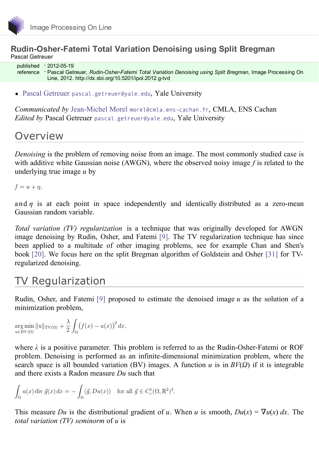### **Rudin-Osher-Fatemi Total Variation Denoising using Split Bregman** Pascal Getreuer

published 2012-05-19 reference Pascal Getreuer, *Rudin-Osher-Fatemi Total Variation Denoising using Split Bregman*, Image Processing On Line, 2012. [http://dx.doi.org/10.5201/ipol.2012.g-tvd](http://dx.doi.org/10.5201/ipol)

Pascal [Getreuer](http://www.getreuer.info/) [pascal.getreuer@yale.edu](mailto:pascal.getreuer@yale.edu), Yale University

*Communicated by* [Jean-Michel](http://www.cmla.ens-cachan.fr/~morel) Morel [morel@cmla.ens-cachan.fr](mailto:morel@cmla.ens-cachan.fr), CMLA, ENS Cachan *Edited by* Pascal Getreuer [pascal.getreuer@yale.edu](mailto:pascal.getreuer@yale.edu), Yale University

### **Overview**

*Denoising* is the problem of removing noise from an image. The most commonly studied case is with additive white Gaussian noise (AWGN), where the observed noisy image *f* is related to the underlying true image *u* by

 $f = u + \eta$ ,

and  $\eta$  is at each point in space independently and identically distributed as a zero-mean Gaussian random variable.

*Total variation (TV) regularization* is a technique that was originally developed for AWGN image denoising by Rudin, Osher, and Fatemi [\[9\]](#page-19-0). The TV regularization technique has since been applied to a multitude of other imaging problems, see for example Chan and Shen's book [\[20\]](#page-20-0). We focus here on the split Bregman algorithm of Goldstein and Osher [\[31\]](#page-20-1) for TVregularized denoising.

## TV Regularization

Rudin, Osher, and Fatemi [\[9\]](#page-19-0) proposed to estimate the denoised image *u* as the solution of a minimization problem,

$$
\underset{u \in BV(\Omega)}{\arg \min} ||u||_{\text{TV}(\Omega)} + \frac{\lambda}{2} \int_{\Omega} (f(x) - u(x))^2 dx,
$$

where *λ* is a positive parameter. This problem is referred to as the Rudin-Osher-Fatemi or ROF problem. Denoising is performed as an infinite-dimensional minimization problem, where the search space is all bounded variation (BV) images. A function  $u$  is in  $BV(Q)$  if it is integrable and there exists a Radon measure *Du* such that

$$
\int_{\Omega} u(x) \operatorname{div} \vec{g}(x) dx = -\int_{\Omega} \langle \vec{g}, Du(x) \rangle \quad \text{for all } \vec{g} \in C_c^1(\Omega, \mathbb{R}^2)^2.
$$

This measure *Du* is the distributional gradient of *u*. When *u* is smooth,  $Du(x) = \nabla u(x) dx$ . The *total variation (TV) seminorm* of *u* is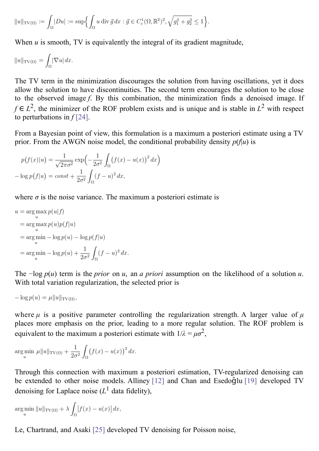$$
||u||_{\text{TV}(\Omega)} := \int_{\Omega} |Du| := \sup \Biggl\{ \int_{\Omega} u \, \text{div} \, \vec{g} \, dx : \vec{g} \in C^1_c(\Omega, \mathbb{R}^2)^2, \sqrt{g_1^2 + g_2^2} \le 1 \Biggr\}.
$$

When  $u$  is smooth, TV is equivalently the integral of its gradient magnitude,

$$
||u||_{\mathrm{TV}(\Omega)} = \int_{\Omega} |\nabla u| \, dx.
$$

The TV term in the minimization discourages the solution from having oscillations, yet it does allow the solution to have discontinuities. The second term encourages the solution to be close to the observed image *f*. By this combination, the minimization finds a denoised image. If *f* ∈  $L^2$ , the minimizer of the ROF problem exists and is unique and is stable in  $L^2$  with respect to perturbations in  $f$  [\[24\]](#page-20-2).

From a Bayesian point of view, this formulation is a maximum a posteriori estimate using a TV prior. From the AWGN noise model, the conditional probability density  $p(f|u)$  is

$$
p(f(x)|u) = \frac{1}{\sqrt{2\pi\sigma^2}} \exp\left(-\frac{1}{2\sigma^2} \int_{\Omega} (f(x) - u(x))^2 dx\right)
$$

$$
-\log p(f|u) = const + \frac{1}{2\sigma^2} \int_{\Omega} (f - u)^2 dx,
$$

where  $\sigma$  is the noise variance. The maximum a posteriori estimate is

$$
u = \arg\max_{u} p(u|f)
$$
  
= 
$$
\arg\max_{u} p(u)p(f|u)
$$
  
= 
$$
\arg\min_{u} - \log p(u) - \log p(f|u)
$$
  
= 
$$
\arg\min_{u} - \log p(u) + \frac{1}{2\sigma^2} \int_{\Omega} (f - u)^2 dx
$$

The −log *p*(*u*) term is the *prior* on *u*, an *a priori* assumption on the likelihood of a solution *u*. With total variation regularization, the selected prior is

 $-\log p(u) = \mu ||u||_{\text{TV}(\Omega)},$ 

where  $\mu$  is a positive parameter controlling the regularization strength. A larger value of  $\mu$ places more emphasis on the prior, leading to a more regular solution. The ROF problem is equivalent to the maximum a posteriori estimate with  $1/\lambda = \mu \sigma^2$ ,

$$
\underset{u}{\arg\min} \ \mu \|u\|_{\text{TV}(\Omega)} + \frac{1}{2\sigma^2} \int_{\Omega} (f(x) - u(x))^2 \, dx.
$$

Through this connection with maximum a posteriori estimation, TV-regularized denoising can be extended to other noise models. Alliney [\[12\]](#page-19-1) and Chan and Esedo $\bar{q}$ lu [\[19\]](#page-19-2) developed TV denoising for Laplace noise  $(L^1)$  data fidelity),

$$
\underset{u}{\arg\min} \left\|u\right\|_{\text{TV}(\Omega)} + \lambda \int_{\Omega} \left|f(x) - u(x)\right| dx,
$$

Le, Chartrand, and Asaki [\[25\]](#page-20-3) developed TV denoising for Poisson noise,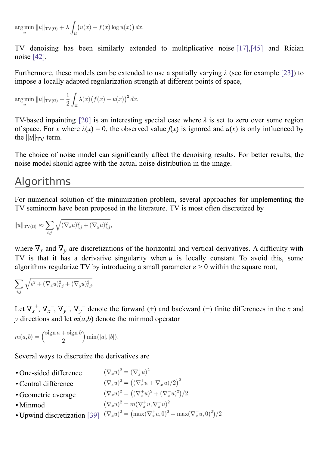$\arg\min_{x} \|u\|_{\text{TV}(\Omega)} + \lambda \int_{\Omega} (u(x) - f(x) \log u(x)) dx.$ 

TV denoising has been similarly extended to multiplicative noise [\[17\]](#page-19-3),[\[45\]](#page-21-0) and Rician noise [\[42\]](#page-21-1).

Furthermore, these models can be extended to use a spatially varying *λ* (see for example [\[23\]](#page-20-4)) to impose a locally adapted regularization strength at different points of space,

$$
\underset{u}{\arg\min} \ \|u\|_{\text{TV}(\Omega)} + \frac{1}{2} \int_{\Omega} \lambda(x) \big(f(x) - u(x)\big)^2 \, dx.
$$

TV-based inpainting [\[20\]](#page-20-0) is an interesting special case where *λ* is set to zero over some region of space. For *x* where  $\lambda(x) = 0$ , the observed value  $f(x)$  is ignored and  $u(x)$  is only influenced by the  $||u||_{TV}$  term.

The choice of noise model can significantly affect the denoising results. For better results, the noise model should agree with the actual noise distribution in the image.

### Algorithms

For numerical solution of the minimization problem, several approaches for implementing the TV seminorm have been proposed in the literature. TV is most often discretized by

$$
||u||_{\mathrm{TV}(\Omega)} \approx \sum_{i,j} \sqrt{(\nabla_x u)_{i,j}^2 + (\nabla_y u)_{i,j}^2},
$$

where  $\nabla_x$  and  $\nabla_y$  are discretizations of the horizontal and vertical derivatives. A difficulty with TV is that it has a derivative singularity when *u* is locally constant. To avoid this, some algorithms regularize TV by introducing a small parameter  $\varepsilon > 0$  within the square root,

$$
\sum_{i,j}\sqrt{\epsilon^2+(\nabla_x u)_{i,j}^2+(\nabla_y u)_{i,j}^2}.
$$

Let  $\nabla_x^+$ ,  $\nabla_x^-$ ,  $\nabla_y^+$ ,  $\nabla_y^-$  denote the forward (+) and backward (-) finite differences in the *x* and *y* directions and let  $m(a,b)$  denote the minmod operator

$$
m(a,b) = \left(\frac{\operatorname{sign} a + \operatorname{sign} b}{2}\right) \min(|a|, |b|).
$$

Several ways to discretize the derivatives are

 $(\nabla_x u)^2 = (\nabla_x^+ u)^2$ • One-sided difference  $(\nabla_x u)^2 = ((\nabla_x^+ u + \nabla_x^- u)/2)^2$ •Central difference  $(\nabla_x u)^2 = ((\nabla_x^+ u)^2 + (\nabla_x^- u)^2)/2$ • Geometric average  $(\nabla_x u)^2 = m(\nabla_x^+ u, \nabla_x^- u)^2$ • Minmod • Upwind discretization [\[39\]](#page-20-5)  $(\nabla_x u)^2 = (\max(\nabla_x^+ u, 0)^2 + \max(\nabla_x^- u, 0)^2)/2$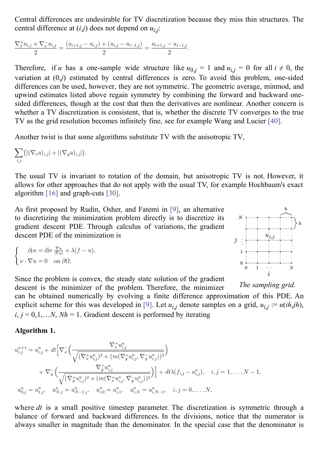Central differences are undesirable for TV discretization because they miss thin structures. The central difference at (*i*,*j*) does not depend on *ui*,*j* :

$$
\frac{\nabla_x^+ u_{i,j} + \nabla_x^- u_{i,j}}{2} = \frac{(u_{i+1,j} - u_{i,j}) + (u_{i,j} - u_{i-1,j})}{2} = \frac{u_{i+1,j} - u_{i-1,j}}{2}.
$$

Therefore, if *u* has a one-sample wide structure like  $u_{0,j} = 1$  and  $u_{i,j} = 0$  for all  $i \neq 0$ , the variation at (0,*j*) estimated by central differences is zero. To avoid this problem, one-sided differences can be used, however, they are not symmetric. The geometric average, minmod, and upwind estimates listed above regain symmetry by combining the forward and backward onesided differences, though at the cost that then the derivatives are nonlinear. Another concern is whether a TV discretization is consistent, that is, whether the discrete TV converges to the true TV as the grid resolution becomes infinitely fine, see for example Wang and Lucier [\[40\]](#page-21-2).

Another twist is that some algorithms substitute TV with the anisotropic TV,

$$
\sum_{i,j} \bigl( |(\nabla_x u)_{i,j}| + |(\nabla_y u)_{i,j}| \bigr).
$$

The usual TV is invariant to rotation of the domain, but anisotropic TV is not. However, it allows for other approaches that do not apply with the usual TV, for example Hochbaum's exact algorithm [\[16\]](#page-19-4) and graph-cuts [\[30\]](#page-20-6).

As first proposed by Rudin, Osher, and Fatemi in [\[9\]](#page-19-0), an alternative to discretizing the minimization problem directly is to discretize its gradient descent PDE. Through calculus of variations, the gradient descent PDE of the minimization is

$$
\begin{cases}\n\partial_t u = \text{div } \frac{\nabla u}{|\nabla u|} + \lambda (f - u), \\
\nu \cdot \nabla u = 0 \quad \text{on } \partial \Omega.\n\end{cases}
$$



*The sampling grid.* Since the problem is convex, the steady state solution of the gradient descent is the minimizer of the problem. Therefore, the minimizer can be obtained numerically by evolving a finite difference approximation of this PDE. An explicit scheme for this was developed in [\[9\]](#page-19-0). Let  $u_{i,j}$  denote samples on a grid,  $u_{i,j} := u(ih,jh)$ ,  $i, j = 0, 1, \ldots, N$ ,  $Nh = 1$ . Gradient descent is performed by iterating

#### **Algorithm 1.**

$$
u_{i,j}^{n+1} = u_{i,j}^{n} + dt \Big[ \nabla_x \Big( \frac{\nabla_x^+ u_{i,j}^n}{\sqrt{(\nabla_x^+ u_{i,j}^n)^2 + (m(\nabla_y^+ u_{i,j}^n, \nabla_y^- u_{i,j}^n))^2}} \Big) + \nabla_y \Big( \frac{\nabla_y^+ u_{i,j}^n}{\sqrt{(\nabla_y^+ u_{i,j}^n)^2 + (m(\nabla_x^+ u_{i,j}^n, \nabla_y^- u_{i,j}^n))^2}} \Big) \Big] + dt \lambda (f_{i,j} - u_{i,j}^n), \quad i, j = 1, \dots, N-1, u_{0,j}^n = u_{1,j}^n, \quad u_{N,j}^n = u_{N-1,j}^n, \quad u_{i,0}^n = u_{i,1}^n, \quad u_{i,N}^n = u_{i,N-1}^n, \quad i, j = 0, \dots, N,
$$

where *dt* is a small positive timestep parameter. The discretization is symmetric through a balance of forward and backward differences. In the divisions, notice that the numerator is always smaller in magnitude than the denominator. In the special case that the denominator is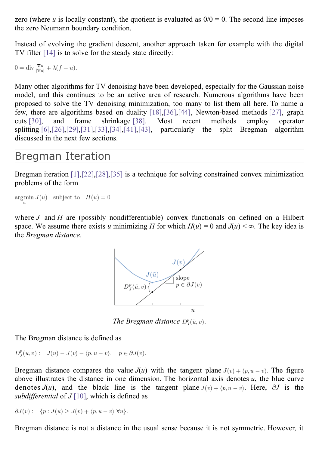zero (where *u* is locally constant), the quotient is evaluated as  $0/0 = 0$ . The second line imposes the zero Neumann boundary condition.

Instead of evolving the gradient descent, another approach taken for example with the digital TV filter [\[14\]](#page-19-5) is to solve for the steady state directly:

$$
0 = \text{div} \, \frac{\nabla u}{|\nabla u|} + \lambda (f - u).
$$

Many other algorithms for TV denoising have been developed, especially for the Gaussian noise model, and this continues to be an active area of research. Numerous algorithms have been proposed to solve the TV denoising minimization, too many to list them all here. To name a few, there are algorithms based on duality [\[18\]](#page-19-6)[,\[36\]](#page-20-7)[,\[44\]](#page-21-3), Newton-based methods [\[27\]](#page-20-8), graph cuts [\[30\]](#page-20-6), and frame shrinkage [\[38\]](#page-20-9). Most recent methods employ operator splitting  $[6]$ ,  $[26]$ ,  $[29]$ ,  $[31]$ ,  $[33]$ ,  $[34]$ ,  $[41]$ ,  $[43]$ , particularly the split Bregman algorithm discussed in the next few sections.

## Bregman Iteration

Bregman iteration [\[1\]](#page-19-8),[\[22\]](#page-20-14),[\[28\]](#page-20-15)[,\[35\]](#page-20-16) is a technique for solving constrained convex minimization problems of the form

```
arg min J(u) subject to H(u) = 0
```
where *J* and *H* are (possibly nondifferentiable) convex functionals on defined on a Hilbert space. We assume there exists *u* minimizing *H* for which  $H(u) = 0$  and  $J(u) < \infty$ . The key idea is the *Bregman distance*.



*The Bregman distance*  $D_{\tau}^{p}(\tilde{u}, v)$ .

The Bregman distance is defined as

 $D_{I}^{p}(u, v) := J(u) - J(v) - \langle p, u - v \rangle, \quad p \in \partial J(v).$ 

Bregman distance compares the value  $J(u)$  with the tangent plane  $J(v) + \langle p, u - v \rangle$ . The figure above illustrates the distance in one dimension. The horizontal axis denotes *u*, the blue curve denotes  $J(u)$ , and the black line is the tangent plane  $J(v) + \langle p, u - v \rangle$ . Here,  $\partial J$  is the *subdifferential* of  $J[10]$  $J[10]$ , which is defined as

$$
\partial J(v) := \{p: J(u) \geq J(v) + \langle p, u - v \rangle \ \forall u\}.
$$

Bregman distance is not a distance in the usual sense because it is not symmetric. However, it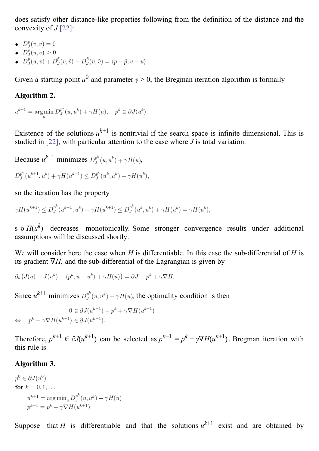does satisfy other distance-like properties following from the definition of the distance and the convexity of *J* [\[22\]](#page-20-14):

- $D_{I}^{p}(v, v) = 0$
- $\bullet$   $D_{I}^{p}(u,v) \geq 0$
- $D_f^{\bar{p}}(u, v) + D_J^{\bar{p}}(v, \tilde{v}) D_J^{\bar{p}}(u, \tilde{v}) = \langle p \tilde{p}, v u \rangle.$

Given a starting point  $u^0$  and parameter  $\gamma > 0$ , the Bregman iteration algorithm is formally

### **Algorithm 2.**

$$
u^{k+1} = \underset{u}{\text{argmin}} D_J^{p^k}(u, u^k) + \gamma H(u), \quad p^k \in \partial J(u^k).
$$

Existence of the solutions  $u^{k+1}$  is nontrivial if the search space is infinite dimensional. This is studied in [\[22\]](#page-20-14), with particular attention to the case where *J* is total variation.

Because  $u^{k+1}$  minimizes  $D_f^{p^k}(u, u^k) + \gamma H(u)$ ,

$$
D_J^{p^k}(u^{k+1}, u^k) + \gamma H(u^{k+1}) \le D_J^{p^k}(u^k, u^k) + \gamma H(u^k),
$$

so the iteration has the property

$$
\gamma H(u^{k+1}) \le D_J^{p^k}(u^{k+1}, u^k) + \gamma H(u^{k+1}) \le D_J^{p^k}(u^k, u^k) + \gamma H(u^k) = \gamma H(u^k),
$$

s o  $H(u^k)$  decreases monotonically. Some stronger convergence results under additional assumptions will be discussed shortly.

We will consider here the case when *H* is differentiable. In this case the sub-differential of *H* is its gradient ∇*H*, and the sub-differential of the Lagrangian is given by

$$
\partial_u (J(u) - J(u^k) - \langle p^k, u - u^k \rangle + \gamma H(u)) = \partial J - p^k + \gamma \nabla H.
$$

Since  $u^{k+1}$  minimizes  $D_{J}^{p^{k}}(u, u^{k}) + \gamma H(u)$ , the optimality condition is then

$$
\begin{array}{ll} & 0 \in \partial J(u^{k+1}) - p^k + \gamma \nabla H(u^{k+1}) \\ \Leftrightarrow & p^k - \gamma \nabla H(u^{k+1}) \in \partial J(u^{k+1}). \end{array}
$$

Therefore,  $p^{k+1} \in \partial J(u^{k+1})$  can be selected as  $p^{k+1} = p^k - \gamma \nabla H(u^{k+1})$ . Bregman iteration with this rule is

### **Algorithm 3.**

 $p^0 \in \partial J(u^0)$ for  $k = 0, 1, ...$  $u^{k+1} = \arg\min\nolimits_u D_J^{p^k}(u,u^k) + \gamma H(u)$  $p^{k+1} = p^k - \gamma \nabla H(u^{k+1})$ 

Suppose that *H* is differentiable and that the solutions  $u^{k+1}$  exist and are obtained by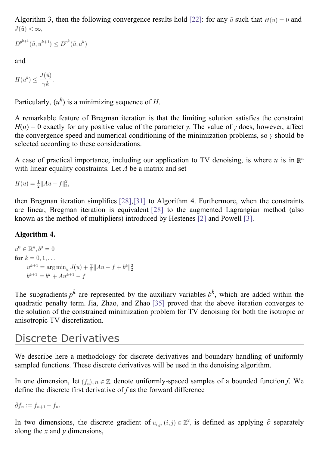Algorithm 3, then the following convergence results hold [\[22\]](#page-20-14): for any  $\tilde{u}$  such that  $H(\tilde{u}) = 0$  and  $J(\tilde{u}) < \infty$ .

$$
D^{p^{k+1}}(\tilde{u}, u^{k+1}) \le D^{p^k}(\tilde{u}, u^k)
$$

and

$$
H(u^k) \le \frac{J(\tilde{u})}{\gamma k}.
$$

Particularly,  $(u^k)$  is a minimizing sequence of *H*.

A remarkable feature of Bregman iteration is that the limiting solution satisfies the constraint  $H(u) = 0$  exactly for any positive value of the parameter *γ*. The value of *γ* does, however, affect the convergence speed and numerical conditioning of the minimization problems, so *γ* should be selected according to these considerations.

A case of practical importance, including our application to TV denoising, is where  $u$  is in  $\mathbb{R}^n$ with linear equality constraints. Let *A* be a matrix and set

 $H(u) = \frac{1}{2} ||Au - f||_2^2,$ 

then Bregman iteration simplifies [\[28\]](#page-20-15),[\[31\]](#page-20-1) to Algorithm 4. Furthermore, when the constraints are linear, Bregman iteration is equivalent [\[28\]](#page-20-15) to the augmented Lagrangian method (also known as the method of multipliers) introduced by Hestenes [\[2\]](#page-19-10) and Powell [\[3\]](#page-19-11).

### **Algorithm 4.**

 $u^{0} \in \mathbb{R}^{n}, b^{0} = 0$ for  $k = 0, 1, ...$  $u^{k+1} = \arg\min_u J(u) + \frac{\gamma}{2} ||Au - f + b^k||_2^2$  $b^{k+1} = b^k + Au^{k+1} - f$ 

The subgradients  $p^k$  are represented by the auxiliary variables  $b^k$ , which are added within the quadratic penalty term. Jia, Zhao, and Zhao [\[35\]](#page-20-16) proved that the above iteration converges to the solution of the constrained minimization problem for TV denoising for both the isotropic or anisotropic TV discretization.

## Discrete Derivatives

We describe here a methodology for discrete derivatives and boundary handling of uniformly sampled functions. These discrete derivatives will be used in the denoising algorithm.

In one dimension, let  $(f_n)$ ,  $n \in \mathbb{Z}$ , denote uniformly-spaced samples of a bounded function *f*. We define the discrete first derivative of *f* as the forward difference

 $\partial f_n := f_{n+1} - f_n.$ 

In two dimensions, the discrete gradient of  $u_{i,j}$ ,  $(i,j) \in \mathbb{Z}^2$ , is defined as applying  $\partial$  separately along the *x* and *y* dimensions,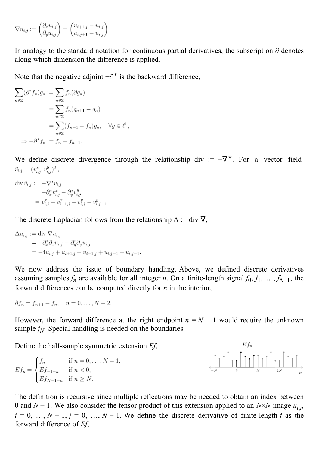$$
\nabla u_{i,j} := \begin{pmatrix} \partial_x u_{i,j} \\ \partial_y u_{i,j} \end{pmatrix} = \begin{pmatrix} u_{i+1,j} - u_{i,j} \\ u_{i,j+1} - u_{i,j} \end{pmatrix}.
$$

In analogy to the standard notation for continuous partial derivatives, the subscript on  $\partial$  denotes along which dimension the difference is applied.

Note that the negative adjoint  $-\partial^*$  is the backward difference,

$$
\sum_{n \in \mathbb{Z}} (\partial^* f_n) g_n := \sum_{n \in \mathbb{Z}} f_n(\partial g_n)
$$
  
= 
$$
\sum_{n \in \mathbb{Z}} f_n(g_{n+1} - g_n)
$$
  
= 
$$
\sum_{n \in \mathbb{Z}} (f_{n-1} - f_n) g_n, \quad \forall g \in \ell^1,
$$
  

$$
\Rightarrow -\partial^* f_n = f_n - f_{n-1}.
$$

We define discrete divergence through the relationship div :=  $-\nabla^*$ . For a vector field  $\vec{v}_{i,j} = (v_{i,j}^x, v_{i,j}^y)^T,$ 

$$
\begin{aligned} \text{div } \vec{v}_{i,j} &:= -\nabla^* v_{i,j} \\ &= -\partial^*_x v^x_{i,j} - \partial^*_y v^y_{i,j} \\ &= v^x_{i,j} - v^x_{i-1,j} + v^y_{i,j} - v^y_{i,j-1} \end{aligned}
$$

The discrete Laplacian follows from the relationship  $\Delta$  := div  $\nabla$ ,

$$
\Delta u_{i,j} := \text{div } \nabla u_{i,j}
$$
  
=  $-\partial_x^* \partial_x u_{i,j} - \partial_y^* \partial_y u_{i,j}$   
=  $-4u_{i,j} + u_{i+1,j} + u_{i-1,j} + u_{i,j+1} + u_{i,j-1}.$ 

We now address the issue of boundary handling. Above, we defined discrete derivatives assuming samples  $f_n$  are available for all integer *n*. On a finite-length signal  $f_0, f_1, ..., f_{N-1}$ , the forward differences can be computed directly for *n* in the interior,

$$
\partial f_n = f_{n+1} - f_n, \quad n = 0, \dots, N-2.
$$

However, the forward difference at the right endpoint  $n = N - 1$  would require the unknown sample  $f_N$ . Special handling is needed on the boundaries.

Define the half-sample symmetric extension *Ef*,





The definition is recursive since multiple reflections may be needed to obtain an index between 0 and *N* − 1. We also consider the tensor product of this extension applied to an *N*×*N* image *ui*,*j* ,  $i = 0, ..., N - 1, j = 0, ..., N - 1$ . We define the discrete derivative of finite-length *f* as the forward difference of *Ef*,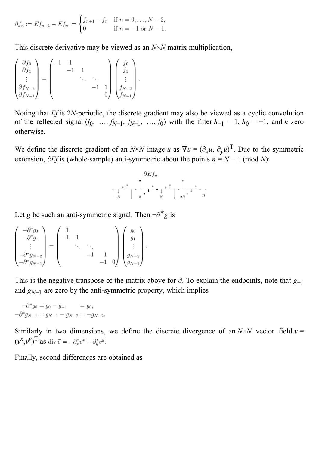$$
\partial f_n := Ef_{n+1} - Ef_n = \begin{cases} f_{n+1} - f_n & \text{if } n = 0, ..., N-2, \\ 0 & \text{if } n = -1 \text{ or } N-1. \end{cases}
$$

This discrete derivative may be viewed as an *N*×*N* matrix multiplication,

$$
\begin{pmatrix}\n\frac{\partial f_0}{\partial f_1} \\
\vdots \\
\frac{\partial f_{N-2}}{\partial f_{N-1}}\n\end{pmatrix} = \begin{pmatrix}\n-1 & 1 & & & \\
& -1 & 1 & & \\
& & \ddots & \ddots & \\
& & & -1 & 1 \\
& & & & 0\n\end{pmatrix} \begin{pmatrix}\nf_0 \\
f_1 \\
\vdots \\
f_{N-2} \\
f_{N-1}\n\end{pmatrix}.
$$

Noting that *Ef* is 2*N*-periodic, the discrete gradient may also be viewed as a cyclic convolution of the reflected signal  $(f_0, ..., f_{N-1}, f_{N-1}, ..., f_0)$  with the filter  $h_{-1} = 1$ ,  $h_0 = -1$ , and  $h$  zero otherwise.

We define the discrete gradient of an *N*×*N* image *u* as  $\nabla u = (\partial_x u, \partial_y u)^T$ . Due to the symmetric extension,  $\partial Ef$  is (whole-sample) anti-symmetric about the points  $n = N - 1$  (mod *N*):



Let *g* be such an anti-symmetric signal. Then  $-\partial^* g$  is

$$
\begin{pmatrix}\n-\partial^* g_0 \\
-\partial^* g_1 \\
\vdots \\
-\partial^* g_{N-2} \\
-\partial^* g_{N-1}\n\end{pmatrix} = \begin{pmatrix}\n1 & & & & \\
-1 & 1 & & & \\
& \ddots & \ddots & & \\
& & -1 & 1 \\
& & & -1 & 0\n\end{pmatrix} \begin{pmatrix}\ng_0 \\
g_1 \\
\vdots \\
g_{N-2} \\
g_{N-1}\n\end{pmatrix}.
$$

This is the negative transpose of the matrix above for ∂. To explain the endpoints, note that *g*−1 and  $g_{N-1}$  are zero by the anti-symmetric property, which implies

 $-\partial^* g_0 = g_0 - g_{-1} = g_0,$  $-\partial^* g_{N-1} = g_{N-1} - g_{N-2} = -g_{N-2}.$ 

Similarly in two dimensions, we define the discrete divergence of an  $N \times N$  vector field  $v =$  $(v^x, v^y)$ <sup>T</sup> as

Finally, second differences are obtained as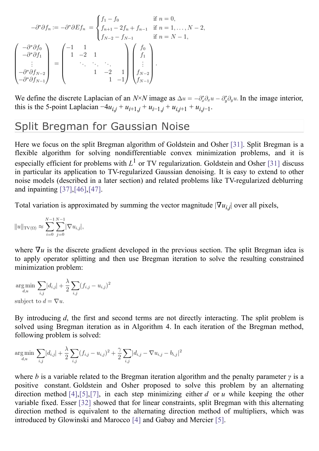$$
-\partial^*\partial f_n := -\partial^*\partial Ef_n = \begin{cases} f_1 - f_0 & \text{if } n = 0, \\ f_{n+1} - 2f_n + f_{n-1} & \text{if } n = 1, ..., N - 2, \\ f_{N-2} - f_{N-1} & \text{if } n = N - 1, \end{cases}
$$
  

$$
-\partial^*\partial f_1 = \begin{pmatrix} -1 & 1 \\ 1 & -2 \\ \vdots & \ddots & \ddots \\ -\partial^*\partial f_{N-2} & 1 \\ -\partial^*\partial f_{N-1} & -1 \end{pmatrix} \begin{pmatrix} f_0 \\ f_1 \\ \vdots \\ f_{N-2} \\ f_{N-1} \end{pmatrix}.
$$

We define the discrete Laplacian of an *N*×*N* image as  $\Delta u = -\partial_x^* \partial_x u - \partial_y^* \partial_y u$ . In the image interior, this is the 5-point Laplacian  $-4u_{i,j} + u_{i+1,j} + u_{i-1,j} + u_{i,j+1} + u_{i,j-1}$ .

### Split Bregman for Gaussian Noise

Here we focus on the split Bregman algorithm of Goldstein and Osher [\[31\]](#page-20-1). Split Bregman is a flexible algorithm for solving nondifferentiable convex minimization problems, and it is especially efficient for problems with  $L^1$  or TV regularization. Goldstein and Osher [\[31\]](#page-20-1) discuss in particular its application to TV-regularized Gaussian denoising. It is easy to extend to other noise models (described in a later section) and related problems like TV-regularized deblurring and inpainting [\[37\]](#page-20-17)[,\[46\]](#page-21-6)[,\[47\]](#page-21-7).

Total variation is approximated by summing the vector magnitude  $|\nabla u_{i,j}|$  over all pixels,

$$
||u||_{\text{TV}(\Omega)} \approx \sum_{i=0}^{N-1} \sum_{j=0}^{N-1} |\nabla u_{i,j}|,
$$

where  $\nabla u$  is the discrete gradient developed in the previous section. The split Bregman idea is to apply operator splitting and then use Bregman iteration to solve the resulting constrained minimization problem:

$$
\underset{d,u}{\text{arg min}} \sum_{i,j} |d_{i,j}| + \frac{\lambda}{2} \sum_{i,j} (f_{i,j} - u_{i,j})^2
$$
\n
$$
\text{subject to } d = \nabla u.
$$

By introducing *d*, the first and second terms are not directly interacting. The split problem is solved using Bregman iteration as in Algorithm 4. In each iteration of the Bregman method, following problem is solved:

$$
\underset{d,u}{\arg\min} \sum_{i,j} |d_{i,j}| + \frac{\lambda}{2} \sum_{i,j} (f_{i,j} - u_{i,j})^2 + \frac{\gamma}{2} \sum_{i,j} |d_{i,j} - \nabla u_{i,j} - b_{i,j}|^2
$$

where *b* is a variable related to the Bregman iteration algorithm and the penalty parameter *γ* is a positive constant. Goldstein and Osher proposed to solve this problem by an alternating direction method [\[4\]](#page-19-12), [\[5\]](#page-19-13), [\[7\]](#page-19-14), in each step minimizing either *d* or *u* while keeping the other variable fixed. Esser [\[32\]](#page-20-18) showed that for linear constraints, split Bregman with this alternating direction method is equivalent to the alternating direction method of multipliers, which was introduced by Glowinski and Marocco [\[4\]](#page-19-12) and Gabay and Mercier [\[5\]](#page-19-13).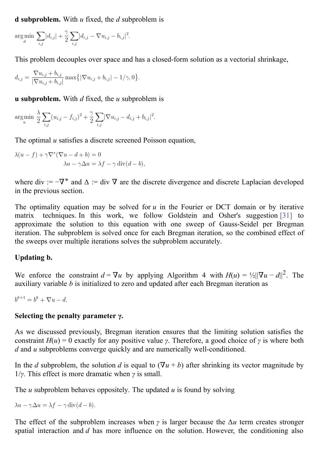**d subproblem.** With *u* fixed, the *d* subproblem is

$$
\underset{d}{\arg\min} \sum_{i,j} |d_{i,j}| + \frac{\gamma}{2} \sum_{i,j} |d_{i,j} - \nabla u_{i,j} - b_{i,j}|^2.
$$

This problem decouples over space and has a closed-form solution as a vectorial shrinkage,

$$
d_{i,j} = \frac{\nabla u_{i,j} + b_{i,j}}{|\nabla u_{i,j} + b_{i,j}|} \max\{|\nabla u_{i,j} + b_{i,j}| - 1/\gamma, 0\}.
$$

**u subproblem.** With *d* fixed, the *u* subproblem is

$$
\underset{u}{\text{argmin}} \frac{\lambda}{2} \sum_{i,j} (u_{i,j} - f_{i,j})^2 + \frac{\gamma}{2} \sum_{i,j} |\nabla u_{i,j} - d_{i,j} + b_{i,j}|^2.
$$

The optimal *u* satisfies a discrete screened Poisson equation,

$$
\lambda(u - f) + \gamma \nabla^* (\nabla u - d + b) = 0
$$
  

$$
\lambda u - \gamma \Delta u = \lambda f - \gamma \operatorname{div}(d - b),
$$

where div :=  $-\nabla^*$  and  $\Delta$  := div  $\nabla$  are the discrete divergence and discrete Laplacian developed in the previous section.

The optimality equation may be solved for  $u$  in the Fourier or DCT domain or by iterative matrix techniques. In this work, we follow Goldstein and Osher's suggestion [\[31\]](#page-20-1) to approximate the solution to this equation with one sweep of Gauss-Seidel per Bregman iteration. The subproblem is solved once for each Bregman iteration, so the combined effect of the sweeps over multiple iterations solves the subproblem accurately.

### **Updating b.**

We enforce the constraint  $d = \nabla u$  by applying Algorithm 4 with  $H(u) = \frac{1}{2} ||\nabla u - d||^2$ . The auxiliary variable *b* is initialized to zero and updated after each Bregman iteration as

 $b^{k+1} = b^k + \nabla u - d$ 

### **Selecting the penalty parameter γ.**

As we discussed previously, Bregman iteration ensures that the limiting solution satisfies the constraint  $H(u) = 0$  exactly for any positive value *γ*. Therefore, a good choice of *γ* is where both *d* and *u* subproblems converge quickly and are numerically well-conditioned.

In the *d* subproblem, the solution *d* is equal to  $(\nabla u + b)$  after shrinking its vector magnitude by 1/*γ*. This effect is more dramatic when *γ* is small.

The *u* subproblem behaves oppositely. The updated *u* is found by solving

$$
\lambda u - \gamma \Delta u = \lambda f - \gamma \operatorname{div}(d - b).
$$

The effect of the subproblem increases when  $\gamma$  is larger because the  $\Delta u$  term creates stronger spatial interaction and *d* has more influence on the solution. However, the conditioning also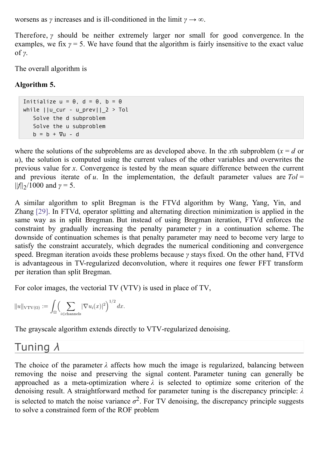worsens as *γ* increases and is ill-conditioned in the limit  $\gamma \to \infty$ .

Therefore, *γ* should be neither extremely larger nor small for good convergence. In the examples, we fix  $\gamma = 5$ . We have found that the algorithm is fairly insensitive to the exact value of *γ*.

The overall algorithm is

### **Algorithm 5.**

```
Initialize u = 0, d = 0, b = 0while ||u|| cur - u prev||2 > Tol
   Solve the d subproblem
   Solve the u subproblem
   b = b + \nabla u - d
```
where the solutions of the subproblems are as developed above. In the *x*th subproblem ( $x = d$  or *u*), the solution is computed using the current values of the other variables and overwrites the previous value for *x*. Convergence is tested by the mean square difference between the current and previous iterate of  $u$ . In the implementation, the default parameter values are  $Tol =$ ||*f*||2 /1000 and *γ* = 5.

A similar algorithm to split Bregman is the FTVd algorithm by Wang, Yang, Yin, and Zhang [\[29\]](#page-20-11). In FTVd, operator splitting and alternating direction minimization is applied in the same way as in split Bregman. But instead of using Bregman iteration, FTVd enforces the constraint by gradually increasing the penalty parameter  $\gamma$  in a continuation scheme. The downside of continuation schemes is that penalty parameter may need to become very large to satisfy the constraint accurately, which degrades the numerical conditioning and convergence speed. Bregman iteration avoids these problems because *γ* stays fixed. On the other hand, FTVd is advantageous in TV-regularized deconvolution, where it requires one fewer FFT transform per iteration than split Bregman.

For color images, the vectorial TV (VTV) is used in place of TV,

$$
||u||_{\text{VTV}(\Omega)} := \int_{\Omega} \Biggl(\sum_{i \in \text{channels}} |\nabla u_i(x)|^2\Biggr)^{1/2} dx.
$$

The grayscale algorithm extends directly to VTV-regularized denoising.

# Tuning *λ*

The choice of the parameter  $\lambda$  affects how much the image is regularized, balancing between removing the noise and preserving the signal content. Parameter tuning can generally be approached as a meta-optimization where *λ* is selected to optimize some criterion of the denoising result. A straightforward method for parameter tuning is the discrepancy principle: *λ* is selected to match the noise variance  $\sigma^2$ . For TV denoising, the discrepancy principle suggests to solve a constrained form of the ROF problem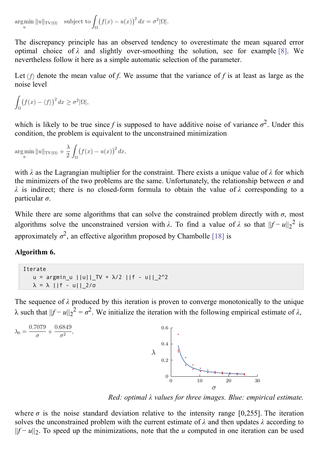$\argmin_{u} ||u||_{\text{TV}(\Omega)}$  subject to  $\int_{\Omega} (f(x) - u(x))^2 dx = \sigma^2 |\Omega|.$ 

The discrepancy principle has an observed tendency to overestimate the mean squared error optimal choice of  $\lambda$  and slightly over-smoothing the solution, see for example [8]. We nevertheless follow it here as a simple automatic selection of the parameter.

Let  $\langle f \rangle$  denote the mean value of *f*. We assume that the variance of *f* is at least as large as the noise level

$$
\int_{\Omega} (f(x) - \langle f \rangle)^2 dx \ge \sigma^2 |\Omega|,
$$

which is likely to be true since *f* is supposed to have additive noise of variance  $\sigma^2$ . Under this condition, the problem is equivalent to the unconstrained minimization

$$
\underset{u}{\arg\min} ||u||_{\text{TV}(\Omega)} + \frac{\lambda}{2} \int_{\Omega} (f(x) - u(x))^2 dx,
$$

with *λ* as the Lagrangian multiplier for the constraint. There exists a unique value of *λ* for which the minimizers of the two problems are the same. Unfortunately, the relationship between  $\sigma$  and *λ* is indirect; there is no closed-form formula to obtain the value of *λ* corresponding to a particular *σ*.

While there are some algorithms that can solve the constrained problem directly with  $\sigma$ , most algorithms solve the unconstrained version with  $\lambda$ . To find a value of  $\lambda$  so that  $||f - u||_2^2$  is approximately  $\sigma^2$ , an effective algorithm proposed by Chambolle [\[18\]](#page-19-6) is

### **Algorithm 6.**

```
Iterate
   u = argmin_u ||u||| TV + \lambda/2 ||f - u||| 2^2\lambda = \lambda ||f - u||_2/σ
```
The sequence of  $\lambda$  produced by this iteration is proven to converge monotonically to the unique λ such that  $||f - u||_2^2 = σ^2$ . We initialize the iteration with the following empirical estimate of  $λ$ ,



*Red: optimal λ values for three images. Blue: empirical estimate.*

where  $\sigma$  is the noise standard deviation relative to the intensity range [0,255]. The iteration solves the unconstrained problem with the current estimate of *λ* and then updates *λ* according to ||*f* − *u*||2 . To speed up the minimizations, note that the *u* computed in one iteration can be used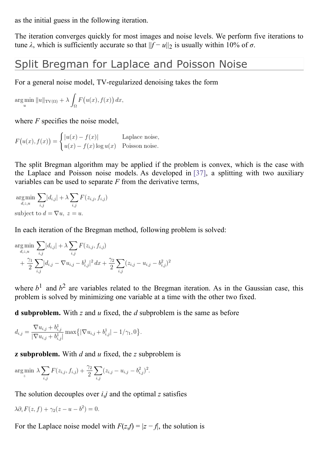as the initial guess in the following iteration.

The iteration converges quickly for most images and noise levels. We perform five iterations to tune  $\lambda$ , which is sufficiently accurate so that  $||f - u||_2$  is usually within 10% of  $\sigma$ .

# Split Bregman for Laplace and Poisson Noise

For a general noise model, TV-regularized denoising takes the form

$$
\underset{u}{\arg\min} \ \|u\|_{\text{TV}(\Omega)} + \lambda \int_{\Omega} F(u(x), f(x)) \, dx,
$$

where *F* specifies the noise model,

 $F(u(x), f(x)) = \begin{cases} |u(x) - f(x)| & \text{Laplace noise,} \\ u(x) - f(x) \log u(x) & \text{Poisson noise.} \end{cases}$ 

The split Bregman algorithm may be applied if the problem is convex, which is the case with the Laplace and Poisson noise models. As developed in [\[37\]](#page-20-17), a splitting with two auxiliary variables can be used to separate *F* from the derivative terms,

 $\underset{d,z,u}{\arg \min} \sum_{i,j} |d_{i,j}| + \lambda \sum_{i,j} F(z_{i,j},f_{i,j})$ subject to  $d = \nabla u, z = u$ .

In each iteration of the Bregman method, following problem is solved:

$$
\arg\min_{d,z,u} \sum_{i,j} |d_{i,j}| + \lambda \sum_{i,j} F(z_{i,j}, f_{i,j}) + \frac{\gamma_1}{2} \sum_{i,j} |d_{i,j} - \nabla u_{i,j} - b_{i,j}^1|^2 dx + \frac{\gamma_2}{2} \sum_{i,j} (z_{i,j} - u_{i,j} - b_{i,j}^2)^2
$$

where  $b^1$  and  $b^2$  are variables related to the Bregman iteration. As in the Gaussian case, this problem is solved by minimizing one variable at a time with the other two fixed.

**d subproblem.** With *z* and *u* fixed, the *d* subproblem is the same as before

$$
d_{i,j} = \frac{\nabla u_{i,j} + b_{i,j}^1}{|\nabla u_{i,j} + b_{i,j}^1|} \max\left\{|\nabla u_{i,j} + b_{i,j}^1| - 1/\gamma_1, 0\right\}.
$$

**z subproblem.** With *d* and *u* fixed, the *z* subproblem is

$$
\arg\min_{z} \lambda \sum_{i,j} F(z_{i,j}, f_{i,j}) + \frac{\gamma_2}{2} \sum_{i,j} (z_{i,j} - u_{i,j} - b_{i,j}^2)^2.
$$

The solution decouples over *i*,*j* and the optimal *z* satisfies

$$
\lambda \partial_z F(z, f) + \gamma_2 (z - u - b^2) = 0.
$$

For the Laplace noise model with  $F(z,f) = |z - f|$ , the solution is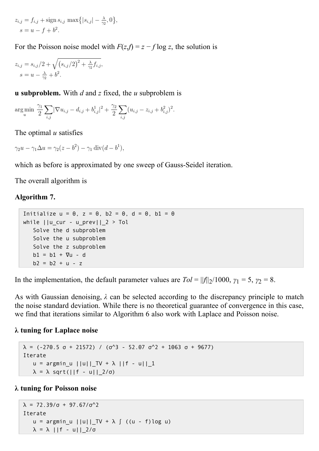$$
z_{i,j} = f_{i,j} + \text{sign } s_{i,j} \text{ max } \{|s_{i,j}| - \frac{\lambda}{\gamma_2}, 0\},\,
$$
  
 $s = u - f + b^2.$ 

For the Poisson noise model with  $F(z, f) = z - f \log z$ , the solution is

$$
z_{i,j} = s_{i,j}/2 + \sqrt{(s_{i,j}/2)^2 + \frac{\lambda}{\gamma_2} f_{i,j}},
$$
  
 
$$
s = u - \frac{\lambda}{\gamma_2} + b^2.
$$

**u subproblem.** With *d* and *z* fixed, the *u* subproblem is

$$
\arg\min_{u} \frac{\gamma_1}{2} \sum_{i,j} |\nabla u_{i,j} - d_{i,j} + b_{i,j}^1|^2 + \frac{\gamma_2}{2} \sum_{i,j} (u_{i,j} - z_{i,j} + b_{i,j}^2)^2.
$$

The optimal *u* satisfies

 $\gamma_2 u - \gamma_1 \Delta u = \gamma_2 (z - b^2) - \gamma_1 \text{div}(d - b^1),$ 

which as before is approximated by one sweep of Gauss-Seidel iteration.

The overall algorithm is

#### **Algorithm 7.**

```
Initialize u = 0, z = 0, b2 = 0, d = 0, b1 = 0while ||u_cur - u_prev||_2 > Tol
   Solve the d subproblem
   Solve the u subproblem
   Solve the z subproblem
   b1 = b1 + \nabla u - db2 = b2 + u - z
```
In the implementation, the default parameter values are  $Tol = ||f||_2/1000$ ,  $\gamma_1 = 5$ ,  $\gamma_2 = 8$ .

As with Gaussian denoising, *λ* can be selected according to the discrepancy principle to match the noise standard deviation. While there is no theoretical guarantee of convergence in this case, we find that iterations similar to Algorithm 6 also work with Laplace and Poisson noise.

#### **λ tuning for Laplace noise**

```
λ = (-270.5 σ + 21572) / (σ<sup>2</sup> - 52.07 σ<sup>2</sup> + 1063 σ + 9677)Iterate
    u = argmin_u |u||_{TV} + \lambda |f - u||_{1}\lambda = \lambda sqrt(||f - u||_2/σ)
```
#### **λ tuning for Poisson noise**

```
λ = 72.39/σ + 97.67/σ^2
Iterate
    u = argmin_u ||u||_{TV} + \lambda \int ((u - f) \log u)\lambda = \lambda ||f - u||_2/σ
```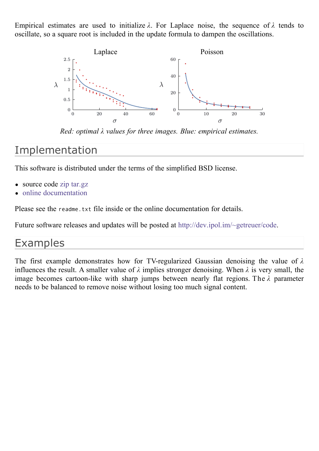Empirical estimates are used to initialize *λ*. For Laplace noise, the sequence of *λ* tends to oscillate, so a square root is included in the update formula to dampen the oscillations.



*Red: optimal λ values for three images. Blue: empirical estimates.*

# Implementation

This software is distributed under the terms of the simplified BSD license.

- source code [zip](http://www.ipol.im/pub/algo/g_tv_denoising/tvdenoise_20120516.zip) [tar.gz](http://www.ipol.im/pub/algo/g_tv_denoising/tvdenoise_20120516.tar.gz)  $\bullet$
- online [documentation](http://www.ipol.im/pub/algo/g_tv_denoising/doc/index.html)

Please see the readme.txt file inside or the online documentation for details.

Future software releases and updates will be posted at [http://dev.ipol.im/~getreuer/code.](http://dev.ipol.im/~getreuer/code)

# Examples

The first example demonstrates how for TV-regularized Gaussian denoising the value of *λ* influences the result. A smaller value of  $\lambda$  implies stronger denoising. When  $\lambda$  is very small, the image becomes cartoon-like with sharp jumps between nearly flat regions. The *λ* parameter needs to be balanced to remove noise without losing too much signal content.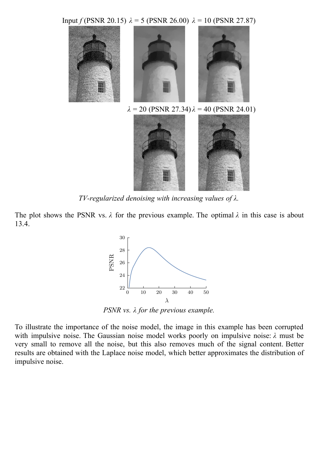Input *f* (PSNR 20.15) *λ* = 5 (PSNR 26.00) *λ* = 10 (PSNR 27.87)



*TV-regularized denoising with increasing values of λ.*

The plot shows the PSNR vs. *λ* for the previous example. The optimal *λ* in this case is about 13.4.



*PSNR vs. λ for the previous example.*

To illustrate the importance of the noise model, the image in this example has been corrupted with impulsive noise. The Gaussian noise model works poorly on impulsive noise: *λ* must be very small to remove all the noise, but this also removes much of the signal content. Better results are obtained with the Laplace noise model, which better approximates the distribution of impulsive noise.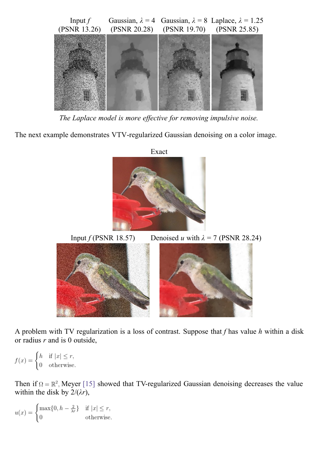

*The Laplace model is more ef ective for removing impulsive noise.*

The next example demonstrates VTV-regularized Gaussian denoising on a color image.



Input *f* (PSNR 18.57) Denoised *u* with  $\lambda = 7$  (PSNR 28.24)

A problem with TV regularization is a loss of contrast. Suppose that *f* has value *h* within a disk or radius *r* and is 0 outside,

 $f(x) = \begin{cases} h & \text{if } |x| \leq r, \\ 0 & \text{otherwise.} \end{cases}$ 

Then if  $\Omega = \mathbb{R}^2$ . Meyer [\[15\]](#page-19-15) showed that TV-regularized Gaussian denoising decreases the value within the disk by  $2/(\lambda r)$ ,

$$
u(x) = \begin{cases} \max\{0, h - \frac{2}{\lambda r}\} & \text{if } |x| \le r, \\ 0 & \text{otherwise.} \end{cases}
$$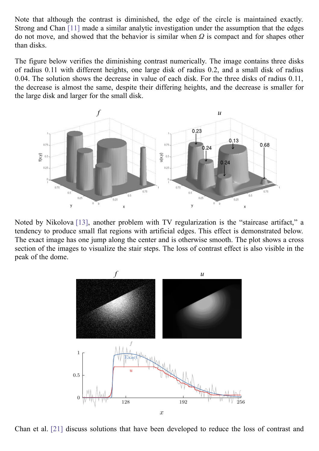Note that although the contrast is diminished, the edge of the circle is maintained exactly. Strong and Chan [\[11\]](#page-19-16) made a similar analytic investigation under the assumption that the edges do not move, and showed that the behavior is similar when *Ω* is compact and for shapes other than disks.

The figure below verifies the diminishing contrast numerically. The image contains three disks of radius 0.11 with different heights, one large disk of radius 0.2, and a small disk of radius 0.04. The solution shows the decrease in value of each disk. For the three disks of radius 0.11, the decrease is almost the same, despite their differing heights, and the decrease is smaller for the large disk and larger for the small disk.



Noted by Nikolova [\[13\]](#page-19-17), another problem with TV regularization is the "staircase artifact," a tendency to produce small flat regions with artificial edges. This effect is demonstrated below. The exact image has one jump along the center and is otherwise smooth. The plot shows a cross section of the images to visualize the stair steps. The loss of contrast effect is also visible in the peak of the dome.



Chan et al. [\[21\]](#page-20-19) discuss solutions that have been developed to reduce the loss of contrast and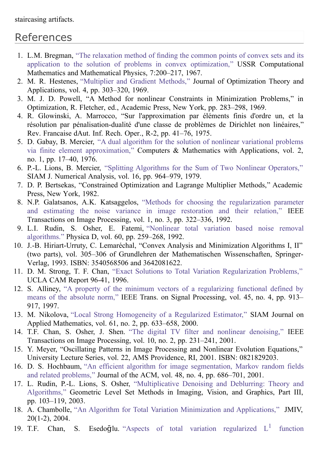# References

- <span id="page-19-8"></span>1. L.M. Bregman, "The relaxation method of finding the common points of convex sets and its application to the solution of problems in convex optimization," USSR [Computational](http://dx.doi.org/10.1016/0041-5553%2867%2990040-7) Mathematics and Mathematical Physics, 7:200–217, 1967.
- <span id="page-19-10"></span>2. M. R. Hestenes, ["Multiplier](http://dx.doi.org/10.1007/BF00927673) and Gradient Methods," Journal of Optimization Theory and Applications, vol. 4, pp. 303–320, 1969.
- <span id="page-19-11"></span>3. M. J. D. Powell, "A Method for nonlinear Constraints in Minimization Problems," in Optimization, R. Fletcher, ed., Academic Press, New York, pp. 283–298, 1969.
- <span id="page-19-12"></span>4. R. Glowinski, A. Marrocco, "Sur l'approximation par éléments finis d'ordre un, et la résolution par pénalisation-dualité d'une classe de problèmes de Dirichlet non linéaires," Rev. Francaise dAut. Inf. Rech. Oper., R-2, pp. 41–76, 1975.
- <span id="page-19-13"></span>5. D. Gabay, B. Mercier, "A dual algorithm for the solution of nonlinear variational problems via finite element [approximation,"](http://dx.doi.org/10.1016/0898-1221%2876%2990003-1) Computers & Mathematics with Applications, vol. 2, no. 1, pp. 17–40, 1976.
- <span id="page-19-7"></span>6. P.-L. Lions, B. Mercier, "Splitting Algorithms for the Sum of Two Nonlinear [Operators,"](http://dx.doi.org/10.1137/0716071) SIAM J. Numerical Analysis, vol. 16, pp. 964–979, 1979.
- <span id="page-19-14"></span>7. D. P. Bertsekas, "Constrained Optimization and Lagrange Multiplier Methods," Academic Press, New York, 1982.
- 8. N.P. Galatsanos, A.K. Katsaggelos, "Methods for choosing the [regularization](http://dx.doi.org/10.1109/83.148606) parameter and estimating the noise variance in image restoration and their relation," IEEE Transactions on Image Processing, vol. 1, no. 3, pp. 322–336, 1992.
- <span id="page-19-0"></span>9. L.I. Rudin, S. Osher, E. Fatemi, "Nonlinear total variation based noise removal [algorithms."](http://dx.doi.org/10.1016/0167-2789%2892%2990242-F) Physica D, vol. 60, pp. 259–268, 1992.
- <span id="page-19-9"></span>10. J.-B. Hiriart-Urruty, C. Lemaréchal, "Convex Analysis and Minimization Algorithms I, II" (two parts), vol. 305–306 of Grundlehren der Mathematischen Wissenschaften, Springer-Verlag, 1993. ISBN: 3540568506 and 3642081622.
- <span id="page-19-16"></span>11. D. M. Strong, T. F. Chan, "Exact Solutions to Total Variation [Regularization](ftp://ftp.math.ucla.edu/pub/camreport/cam96-41.ps.gz) Problems," UCLA CAM Report 96-41, 1996.
- <span id="page-19-1"></span>12. S. Alliney, "A property of the minimum vectors of a [regularizing](http://dx.doi.org/10.1109/78.564179) functional defined by means of the absolute norm," IEEE Trans. on Signal Processing, vol. 45, no. 4, pp. 913– 917, 1997.
- <span id="page-19-17"></span>13. M. Nikolova, "Local Strong [Homogeneity](http://www.jstor.org/stable/3061742) of a Regularized Estimator," SIAM Journal on Applied Mathematics, vol. 61, no. 2, pp. 633–658, 2000.
- <span id="page-19-5"></span>14. T.F. Chan, S. Osher, J. Shen. "The digital TV filter and nonlinear [denoising,"](http://dx.doi.org/10.1109/83.902288) IEEE Transactions on Image Processing, vol. 10, no. 2, pp. 231–241, 2001.
- <span id="page-19-15"></span>15. Y. Meyer, "Oscillating Patterns in Image Processing and Nonlinear Evolution Equations," University Lecture Series, vol. 22, AMS Providence, RI, 2001. ISBN: 0821829203.
- <span id="page-19-4"></span>16. D. S. Hochbaum, "An efficient algorithm for image [segmentation,](http://dx.doi.org/10.1145/502090.502093) Markov random fields and related problems," Journal of the ACM, vol. 48, no. 4, pp. 686–701, 2001.
- <span id="page-19-3"></span>17. L. Rudin, P.-L. Lions, S. Osher, ["Multiplicative](http://dx.doi.org/10.1007/0-387-21810-6_6) Denoising and Deblurring: Theory and Algorithms," Geometric Level Set Methods in Imaging, Vision, and Graphics, Part III, pp. 103–119, 2003.
- <span id="page-19-6"></span>18. A. Chambolle, "An Algorithm for Total Variation Minimization and [Applications,"](http://dx.doi.org/10.1023/B:JMIV.0000011325.36760.1e) JMIV, 20(1-2), 2004.
- <span id="page-19-2"></span>19. T.F. Chan, S. Esedo $\bar{g}$ lu. "Aspects of total variation [regularized](http://www.jstor.org/stable/4096154)  $L^1$  function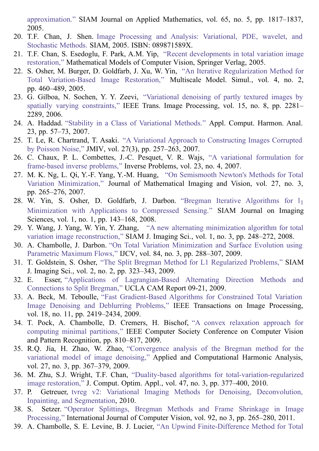approximation." SIAM Journal on Applied Mathematics, vol. 65, no. 5, pp. 1817–1837, 2005.

- <span id="page-20-0"></span>20. T.F. Chan, J. Shen. Image Processing and Analysis: Variational, PDE, wavelet, and Stochastic Methods. SIAM, 2005. ISBN: [089871589X.](http://www.math.ucla.edu/~imagers/chanshen.htm)
- <span id="page-20-19"></span>21. T.F. Chan, S. Esedoglu, F. Park, A.M. Yip, "Recent [developments](ftp://ftp.math.ucla.edu/pub/camreport/cam05-01.pdf) in total variation image restoration," Mathematical Models of Computer Vision, Springer Verlag, 2005.
- <span id="page-20-14"></span>22. S. Osher, M. Burger, D. Goldfarb, J. Xu, W. Yin, "An Iterative [Regularization](http://dx.doi.org/10.1137/040605412) Method for Total Variation-Based Image Restoration," Multiscale Model. Simul., vol. 4, no. 2, pp. 460–489, 2005.
- <span id="page-20-4"></span>23. G. Gilboa, N. Sochen, Y. Y. Zeevi, ["Variational](http://dx.doi.org/10.1109/TIP.2006.875247) denoising of partly textured images by spatially varying constraints," IEEE Trans. Image Processing, vol. 15, no. 8, pp. 2281– 2289, 2006.
- <span id="page-20-2"></span>24. A. Haddad. "Stability in a Class of [Variational](http://dx.doi.org/10.1016/j.acha.2006.10.005) Methods." Appl. Comput. Harmon. Anal. 23, pp. 57–73, 2007.
- <span id="page-20-3"></span>25. T. Le, R. Chartrand, T. Asaki. "A Variational Approach to [Constructing](http://dx.doi.org/10.1007/s10851-007-0652-y) Images Corrupted by Poisson Noise," JMIV, vol. 27(3), pp. 257–263, 2007.
- <span id="page-20-10"></span>26. C. Chaux, P. L. Combettes, J.-C. Pesquet, V. R. Wajs, "A variational [formulation](http://dx.doi.org/10.1088/0266-5611/23/4/008) for frame-based inverse problems," Inverse Problems, vol. 23, no. 4, 2007.
- <span id="page-20-8"></span>27. M. K. Ng, L. Qi, Y.-F. Yang, Y.-M. Huang, "On Semismooth Newton's Methods for Total Variation [Minimization,"](http://dx.doi.org/10.1007/s10851-007-0650-0) Journal of Mathematical Imaging and Vision, vol. 27, no. 3, pp. 265–276, 2007.
- <span id="page-20-15"></span>28. W. Yin, S. Osher, D. Goldfarb, J. Darbon. "Bregman Iterative Algorithms for  $l_1$ [Minimization](http://dx.doi.org/10.1137/070703983) with Applications to Compressed Sensing." SIAM Journal on Imaging Sciences, vol. 1, no. 1, pp. 143–168, 2008.
- <span id="page-20-11"></span>29. Y. Wang, J. Yang, W. Yin, Y. Zhang, "A new alternating minimization algorithm for total variation image [reconstruction,"](http://dx.doi.org/10.1137/080724265) SIAM J. Imaging Sci., vol. 1, no. 3, pp. 248–272, 2008.
- <span id="page-20-6"></span>30. A. Chambolle, J. Darbon. "On Total Variation [Minimization](http://dx.doi.org/10.1007/s11263-009-0238-9) and Surface Evolution using Parametric Maximum Flows," IJCV, vol. 84, no. 3, pp. 288–307, 2009.
- <span id="page-20-1"></span>31. T. Goldstein, S. Osher, "The Split Bregman Method for L1 [Regularized](http://dx.doi.org/10.1137/080725891) Problems," SIAM J. Imaging Sci., vol. 2, no. 2, pp. 323–343, 2009.
- <span id="page-20-18"></span>32. E. Esser, "Applications of [Lagrangian-Based](ftp://ftp.math.ucla.edu/pub/camreport/cam09-31.pdf) Alternating Direction Methods and Connections to Split Bregman," UCLA CAM Report 09-21, 2009.
- <span id="page-20-12"></span>33. A. Beck, M. Teboulle, "Fast [Gradient-Based](http://dx.doi.org/10.1109/TIP.2009.2028250) Algorithms for Constrained Total Variation Image Denoising and Deblurring Problems," IEEE Transactions on Image Processing, vol. 18, no. 11, pp. 2419–2434, 2009.
- <span id="page-20-13"></span>34. T. Pock, A. [Chambolle,](http://dx.doi.org/10.1109/CVPR.2009.5206604) D. Cremers, H. Bischof, "A convex relaxation approach for computing minimal partitions," IEEE Computer Society Conference on Computer Vision and Pattern Recognition, pp. 810–817, 2009.
- <span id="page-20-16"></span>35. R.Q. Jia, H. Zhao, W. Zhao, ["Convergence](http://dx.doi.org/10.1016/j.acha.2009.05.002) analysis of the Bregman method for the variational model of image denoising," Applied and Computational Harmonic Analysis, vol. 27, no. 3, pp. 367–379, 2009.
- <span id="page-20-7"></span>36. M. Zhu, S.J. Wright, T.F. Chan, "Duality-based algorithms for [total-variation-regularized](http://dx.doi.org/10.1007/s10589-008-9225-2) image restoration," J. Comput. Optim. Appl., vol. 47, no. 3, pp. 377–400, 2010.
- <span id="page-20-17"></span>37. P. Getreuer, tvreg v2: Variational Imaging Methods for Denoising, [Deconvolution,](http://www.ipol.im/pub/algo/g_tv_denoising/tvreg.pdf) Inpainting, and Segmentation, 2010.
- <span id="page-20-9"></span>38. S. Setzer. "Operator Splittings, Bregman Methods and Frame Shrinkage in Image Processing," [International](http://dx.doi.org/10.1007/s11263-010-0357-3) Journal of Computer Vision, vol. 92, no 3, pp. 265–280, 2011.
- <span id="page-20-5"></span>39. A. Chambolle, S. E. Levine, B. J. Lucier, "An Upwind [Finite-Difference](http://dx.doi.org/10.1137/090752754) Method for Total